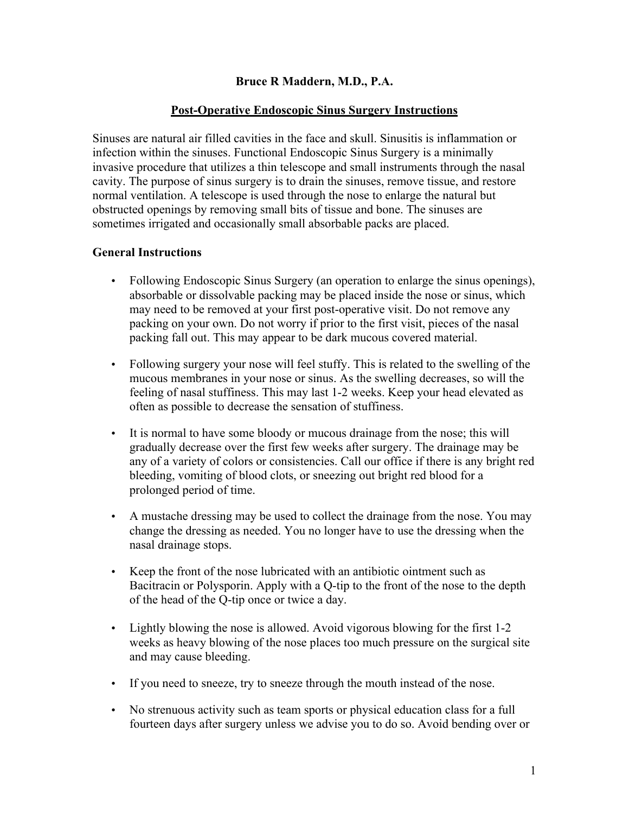## **Bruce R Maddern, M.D., P.A.**

### **Post-Operative Endoscopic Sinus Surgery Instructions**

Sinuses are natural air filled cavities in the face and skull. Sinusitis is inflammation or infection within the sinuses. Functional Endoscopic Sinus Surgery is a minimally invasive procedure that utilizes a thin telescope and small instruments through the nasal cavity. The purpose of sinus surgery is to drain the sinuses, remove tissue, and restore normal ventilation. A telescope is used through the nose to enlarge the natural but obstructed openings by removing small bits of tissue and bone. The sinuses are sometimes irrigated and occasionally small absorbable packs are placed.

## **General Instructions**

- Following Endoscopic Sinus Surgery (an operation to enlarge the sinus openings), absorbable or dissolvable packing may be placed inside the nose or sinus, which may need to be removed at your first post-operative visit. Do not remove any packing on your own. Do not worry if prior to the first visit, pieces of the nasal packing fall out. This may appear to be dark mucous covered material.
- Following surgery your nose will feel stuffy. This is related to the swelling of the mucous membranes in your nose or sinus. As the swelling decreases, so will the feeling of nasal stuffiness. This may last 1-2 weeks. Keep your head elevated as often as possible to decrease the sensation of stuffiness.
- It is normal to have some bloody or mucous drainage from the nose; this will gradually decrease over the first few weeks after surgery. The drainage may be any of a variety of colors or consistencies. Call our office if there is any bright red bleeding, vomiting of blood clots, or sneezing out bright red blood for a prolonged period of time.
- A mustache dressing may be used to collect the drainage from the nose. You may change the dressing as needed. You no longer have to use the dressing when the nasal drainage stops.
- Keep the front of the nose lubricated with an antibiotic ointment such as Bacitracin or Polysporin. Apply with a Q-tip to the front of the nose to the depth of the head of the Q-tip once or twice a day.
- Lightly blowing the nose is allowed. Avoid vigorous blowing for the first 1-2 weeks as heavy blowing of the nose places too much pressure on the surgical site and may cause bleeding.
- If you need to sneeze, try to sneeze through the mouth instead of the nose.
- No strenuous activity such as team sports or physical education class for a full fourteen days after surgery unless we advise you to do so. Avoid bending over or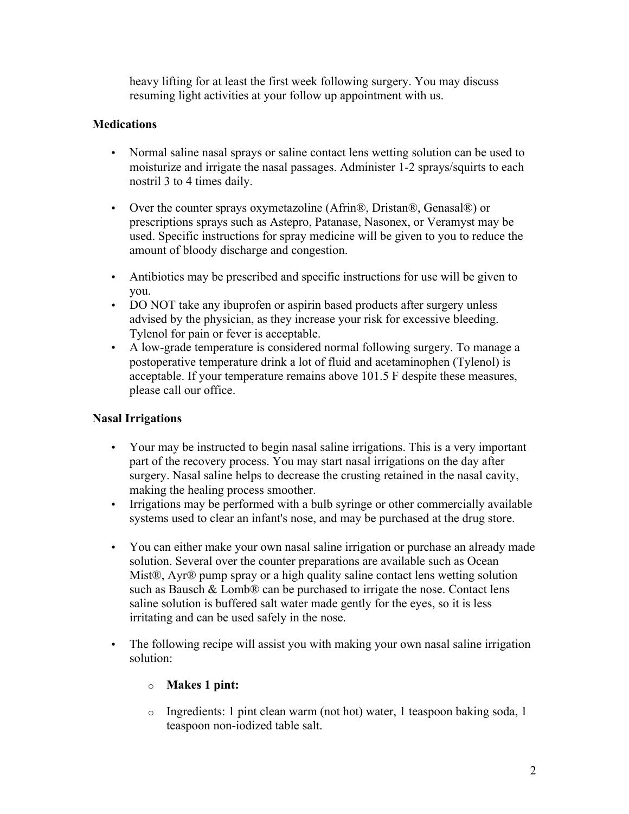heavy lifting for at least the first week following surgery. You may discuss resuming light activities at your follow up appointment with us.

# **Medications**

- Normal saline nasal sprays or saline contact lens wetting solution can be used to moisturize and irrigate the nasal passages. Administer 1-2 sprays/squirts to each nostril 3 to 4 times daily.
- Over the counter sprays oxymetazoline (Afrin®, Dristan®, Genasal®) or prescriptions sprays such as Astepro, Patanase, Nasonex, or Veramyst may be used. Specific instructions for spray medicine will be given to you to reduce the amount of bloody discharge and congestion.
- Antibiotics may be prescribed and specific instructions for use will be given to you.
- DO NOT take any ibuprofen or aspirin based products after surgery unless advised by the physician, as they increase your risk for excessive bleeding. Tylenol for pain or fever is acceptable.
- A low-grade temperature is considered normal following surgery. To manage a postoperative temperature drink a lot of fluid and acetaminophen (Tylenol) is acceptable. If your temperature remains above 101.5 F despite these measures, please call our office.

## **Nasal Irrigations**

- Your may be instructed to begin nasal saline irrigations. This is a very important part of the recovery process. You may start nasal irrigations on the day after surgery. Nasal saline helps to decrease the crusting retained in the nasal cavity, making the healing process smoother.
- Irrigations may be performed with a bulb syringe or other commercially available systems used to clear an infant's nose, and may be purchased at the drug store.
- You can either make your own nasal saline irrigation or purchase an already made solution. Several over the counter preparations are available such as Ocean Mist®, Ayr® pump spray or a high quality saline contact lens wetting solution such as Bausch  $& Lomb@$  can be purchased to irrigate the nose. Contact lens saline solution is buffered salt water made gently for the eyes, so it is less irritating and can be used safely in the nose.
- The following recipe will assist you with making your own nasal saline irrigation solution:

## o **Makes 1 pint:**

o Ingredients: 1 pint clean warm (not hot) water, 1 teaspoon baking soda, 1 teaspoon non-iodized table salt.